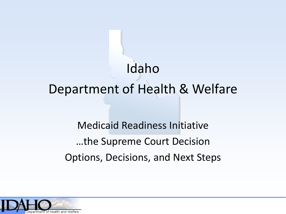# Idaho Department of Health & Welfare

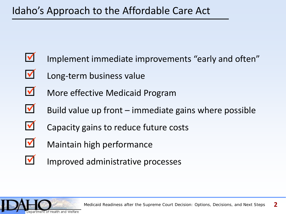- Implement immediate improvements "early and often"  $\blacktriangledown$
- Long-term business value  $\blacktriangledown$
- More effective Medicaid Program  $\blacktriangledown$
- Build value up front immediate gains where possible  $\blacktriangledown$
- Capacity gains to reduce future costs  $\blacktriangledown$
- Maintain high performance  $\blacktriangledown$
- Improved administrative processes  $\blacktriangledown$

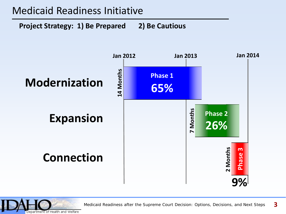### Medicaid Readiness Initiative

**Project Strategy: 1) Be Prepared 2) Be Cautious**



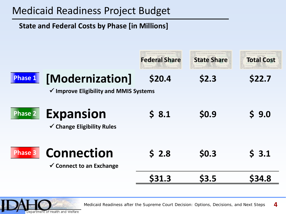## Medicaid Readiness Project Budget

**State and Federal Costs by Phase [in Millions]**

|                |                                                                      | <b>Federal Share</b> | <b>State Share</b> | <b>Total Cost</b> |
|----------------|----------------------------------------------------------------------|----------------------|--------------------|-------------------|
| Phase 1        | [Modernization]<br>$\checkmark$ Improve Eligibility and MMIS Systems | \$20.4               | \$2.3              | \$22.7            |
| <b>Phase 2</b> | <b>Expansion</b><br>$\checkmark$ Change Eligibility Rules            | 58.1                 | \$0.9              | 9.0<br>S.         |
| <b>Phase 3</b> | <b>Connection</b><br>$\checkmark$ Connect to an Exchange             | 52.8                 | \$0.3              | 53.1              |
|                |                                                                      |                      | \$3.5              | <b>S34.8</b>      |

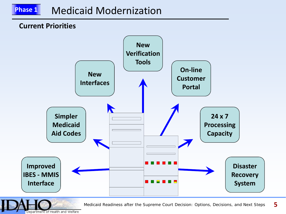## **Phase 1** Medicaid Modernization

#### **Current Priorities**



*Medicaid Readiness after the Supreme Court Decision: Options, Decisions, and Next Steps* **5** 

Department of Health and Welfare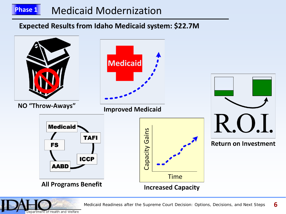## **Phase 1** Medicaid Modernization

#### **Expected Results from Idaho Medicaid system: \$22.7M**



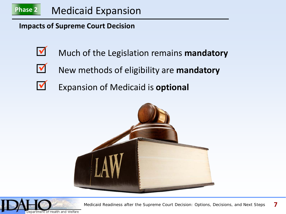

**Impacts of Supreme Court Decision**

- $\blacktriangledown$
- Much of the Legislation remains **mandatory**
- V
- New methods of eligibility are **mandatory**
- Expansion of Medicaid is **optional**  $\blacktriangledown$



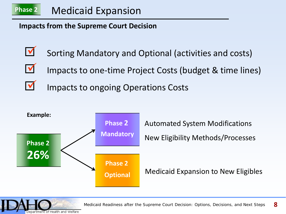

**Impacts from the Supreme Court Decision**

- Sorting Mandatory and Optional (activities and costs)  $\blacktriangledown$
- Impacts to one-time Project Costs (budget & time lines)  $\blacktriangledown$
- Impacts to ongoing Operations Costs  $\blacktriangledown$



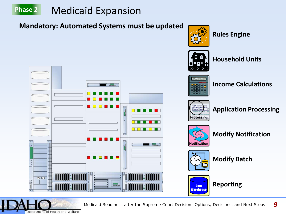## **Phase 2** Medicaid Expansion

#### **Mandatory: Automated Systems must be updated**

 $\blacksquare$   $\substack{\sim\atop \sim\!\sim\!\sim\!\sim}$ 



**Rules Engine**



**Household Units**



**Income Calculations**



**Application Processing**



**Modify Notification**



**Modify Batch**



**Reporting**



**MANIFER ANIMA** 

**MINIMENT**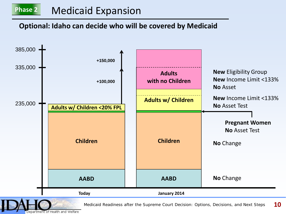## Medicaid Expansion

#### **Optional: Idaho can decide who will be covered by Medicaid**



of Health and Welfare Department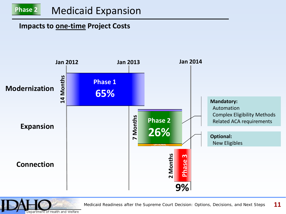#### **Impacts to one-time Project Costs**



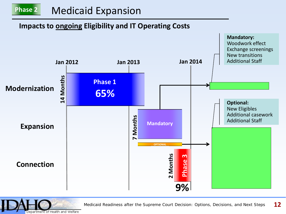#### **Impacts to ongoing Eligibility and IT Operating Costs**



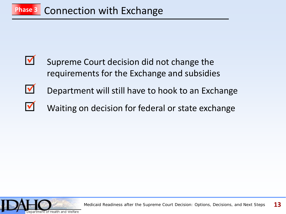- Supreme Court decision did not change the requirements for the Exchange and subsidies V
- Department will still have to hook to an Exchange  $\overline{\mathsf{v}}$
- Waiting on decision for federal or state exchange  $\blacktriangledown$

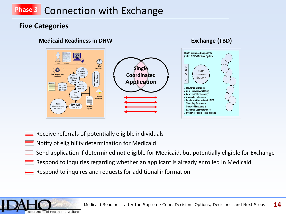## **Phase 3** Connection with Exchange

#### **Five Categories**

#### **Medicaid Readiness in DHW Exchange (TBD)**



- Receive referrals of potentially eligible individuals
- Notify of eligibility determination for Medicaid
- Send application if determined not eligible for Medicaid, but potentially eligible for Exchange
- Respond to inquiries regarding whether an applicant is already enrolled in Medicaid
- Respond to inquires and requests for additional information

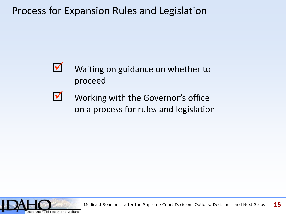

- Waiting on guidance on whether to proceed
- Working with the Governor's office on a process for rules and legislation **V**